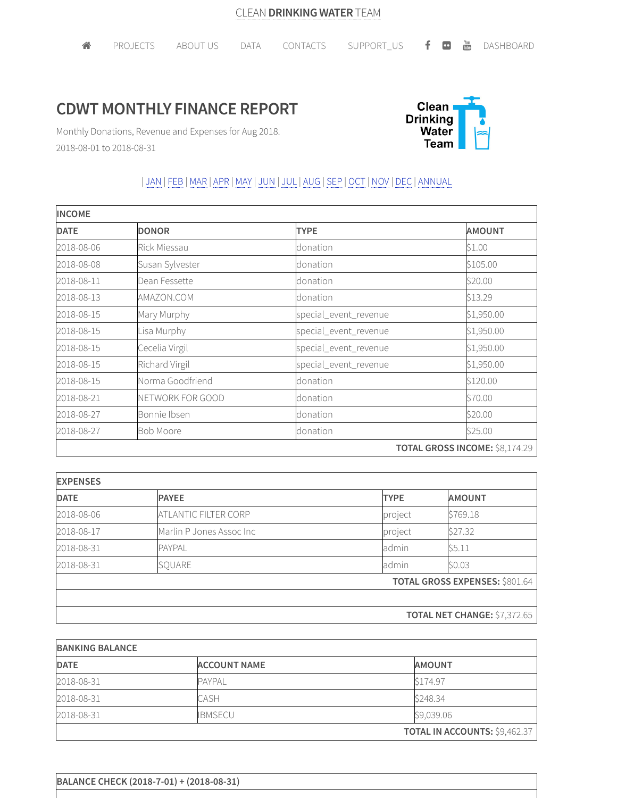## **CDWT MONTHLY FINANCE REPORT**



Monthly Donations, Revenue and Expenses for Aug 2018. 2018-08-01 to 2018-08-31

## | JAN | FEB |MAR |APR |MAY | JUN | JUL | AUG |SEP | OCT | NOV | DEC | ANNUAL

| <b>INCOME</b> |                     |                       |                                |  |
|---------------|---------------------|-----------------------|--------------------------------|--|
| <b>DATE</b>   | <b>DONOR</b>        | <b>TYPE</b>           | <b>AMOUNT</b>                  |  |
| 2018-08-06    | <b>Rick Miessau</b> | donation              | \$1.00                         |  |
| 2018-08-08    | Susan Sylvester     | donation              | \$105.00                       |  |
| 2018-08-11    | Dean Fessette       | donation              | \$20.00                        |  |
| 2018-08-13    | AMAZON.COM          | donation              | \$13.29                        |  |
| 2018-08-15    | Mary Murphy         | special_event_revenue | \$1,950.00                     |  |
| 2018-08-15    | Lisa Murphy         | special_event_revenue | \$1,950.00                     |  |
| 2018-08-15    | Cecelia Virgil      | special_event_revenue | \$1,950.00                     |  |
| 2018-08-15    | Richard Virgil      | special_event_revenue | \$1,950.00                     |  |
| 2018-08-15    | Norma Goodfriend    | donation              | \$120.00                       |  |
| 2018-08-21    | NETWORK FOR GOOD    | donation              | \$70.00                        |  |
| 2018-08-27    | Bonnie Ibsen        | donation              | \$20.00                        |  |
| 2018-08-27    | <b>Bob Moore</b>    | donation              | \$25.00                        |  |
|               |                     |                       | TOTAL GROSS INCOME: \$8,174.29 |  |

| <b>EXPENSES</b> |                          |                                     |                                       |  |
|-----------------|--------------------------|-------------------------------------|---------------------------------------|--|
| <b>DATE</b>     | <b>PAYEE</b>             | <b>TYPE</b>                         | <b>AMOUNT</b>                         |  |
| 2018-08-06      | ATLANTIC FILTER CORP     | project                             | \$769.18                              |  |
| 2018-08-17      | Marlin P Jones Assoc Inc | project                             | \$27.32                               |  |
| 2018-08-31      | <b>PAYPAL</b>            | admin                               | \$5.11                                |  |
| 2018-08-31      | SQUARE                   | admin                               | \$0.03                                |  |
|                 |                          |                                     | <b>TOTAL GROSS EXPENSES: \$801.64</b> |  |
|                 |                          |                                     |                                       |  |
|                 |                          | <b>TOTAL NET CHANGE: \$7,372.65</b> |                                       |  |

| <b>BANKING BALANCE</b> |                     |                                      |  |  |
|------------------------|---------------------|--------------------------------------|--|--|
| <b>DATE</b>            | <b>ACCOUNT NAME</b> | <b>AMOUNT</b>                        |  |  |
| 2018-08-31             | <b>PAYPAL</b>       | S174.97                              |  |  |
| 2018-08-31             | CASH                | \$248.34                             |  |  |
| 2018-08-31             | <b>IBMSECU</b>      | \$9,039.06                           |  |  |
|                        |                     | <b>TOTAL IN ACCOUNTS: \$9,462.37</b> |  |  |

|  |  | BALANCE CHECK (2018-7-01) + (2018-08-31) |  |
|--|--|------------------------------------------|--|
|--|--|------------------------------------------|--|